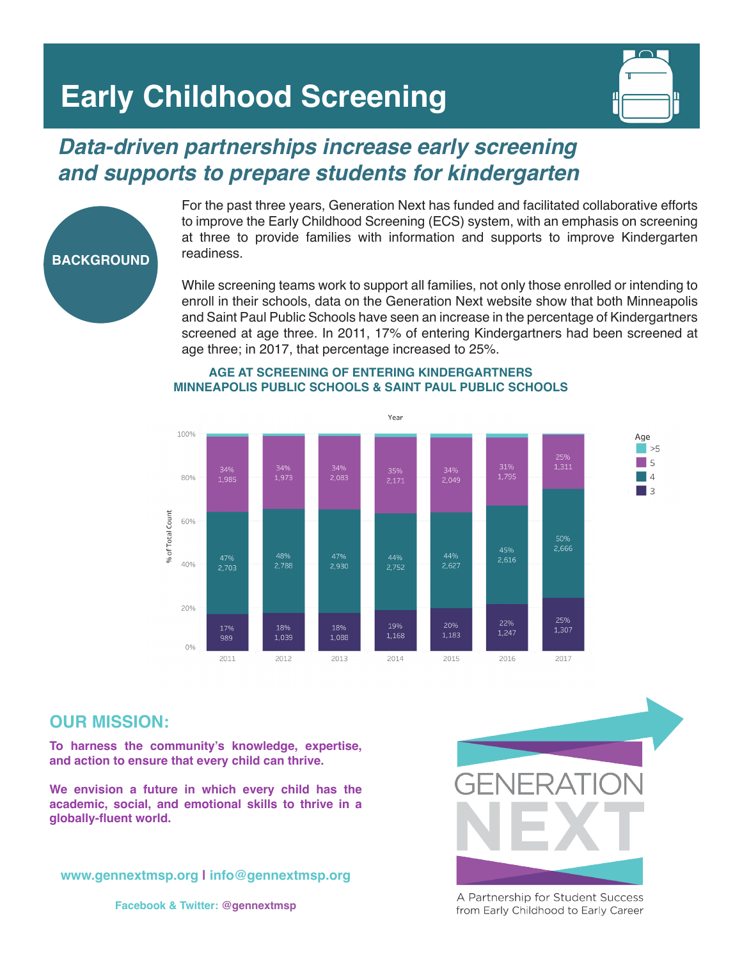# **Early Childhood Screening**



## *Data-driven partnerships increase early screening and supports to prepare students for kindergarten*



For the past three years, Generation Next has funded and facilitated collaborative efforts to improve the Early Childhood Screening (ECS) system, with an emphasis on screening at three to provide families with information and supports to improve Kindergarten readiness.

While screening teams work to support all families, not only those enrolled or intending to enroll in their schools, data on the Generation Next website show that both Minneapolis and Saint Paul Public Schools have seen an increase in the percentage of Kindergartners screened at age three. In 2011, 17% of entering Kindergartners had been screened at age three; in 2017, that percentage increased to 25%.



#### **AGE AT SCREENING OF ENTERING KINDERGARTNERS MINNEAPOLIS PUBLIC SCHOOLS & SAINT PAUL PUBLIC SCHOOLS**

### **OUR MISSION:**

**To harness the community's knowledge, expertise, and action to ensure that every child can thrive.** 

**We envision a future in which every child has the academic, social, and emotional skills to thrive in a globally-fluent world.**

**www.gennextmsp.org | info@gennextmsp.org**





A Partnership for Student Success from Early Childhood to Early Career